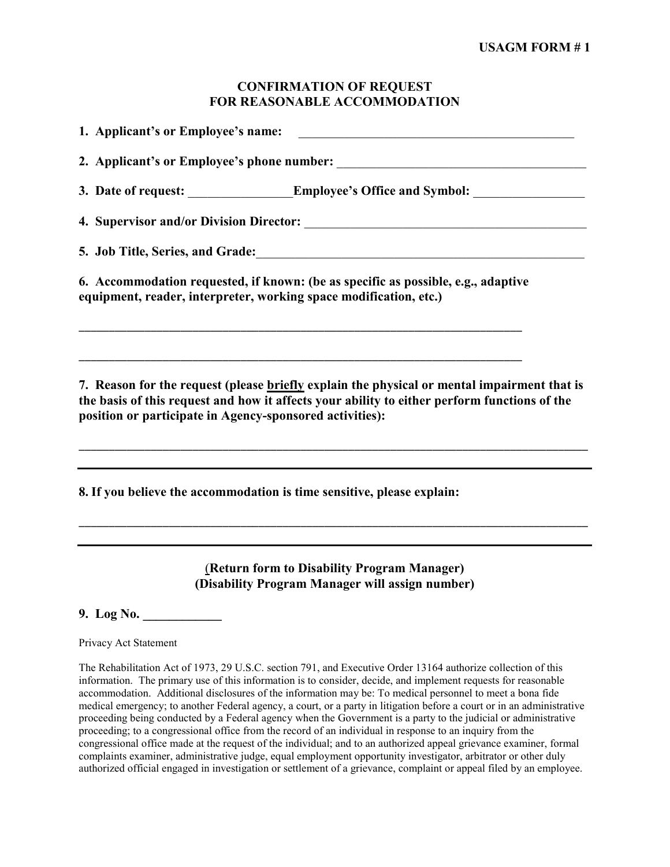## **CONFIRMATION OF REQUEST FOR REASONABLE ACCOMMODATION**

| 3. Date of request: _________________Employee's Office and Symbol: _____________                                                                                                                                                                        |
|---------------------------------------------------------------------------------------------------------------------------------------------------------------------------------------------------------------------------------------------------------|
|                                                                                                                                                                                                                                                         |
| 5. Job Title, Series, and Grade: 1988. March 2014. The Series of Title, Series, and Grade:                                                                                                                                                              |
| 6. Accommodation requested, if known: (be as specific as possible, e.g., adaptive<br>equipment, reader, interpreter, working space modification, etc.)                                                                                                  |
| 7. Reason for the request (please briefly explain the physical or mental impairment that is<br>the basis of this request and how it affects your ability to either perform functions of the<br>position or participate in Agency-sponsored activities): |
| 8. If you believe the accommodation is time sensitive, please explain:                                                                                                                                                                                  |

# (**Return form to Disability Program Manager) (Disability Program Manager will assign number)**

\_\_\_\_\_\_\_\_\_\_\_\_\_\_\_\_\_\_\_\_\_\_\_\_\_\_\_\_\_\_\_\_\_\_\_\_\_\_\_\_\_\_\_\_\_\_\_\_\_\_\_\_\_\_\_\_\_\_\_\_\_\_\_\_\_\_\_\_\_\_\_\_\_\_\_\_\_\_\_\_\_\_\_\_\_

**9. Log No. \_\_\_\_\_\_\_\_\_\_\_\_**

Privacy Act Statement

The Rehabilitation Act of 1973, 29 U.S.C. section 791, and Executive Order 13164 authorize collection of this information. The primary use of this information is to consider, decide, and implement requests for reasonable accommodation. Additional disclosures of the information may be: To medical personnel to meet a bona fide medical emergency; to another Federal agency, a court, or a party in litigation before a court or in an administrative proceeding being conducted by a Federal agency when the Government is a party to the judicial or administrative proceeding; to a congressional office from the record of an individual in response to an inquiry from the congressional office made at the request of the individual; and to an authorized appeal grievance examiner, formal complaints examiner, administrative judge, equal employment opportunity investigator, arbitrator or other duly authorized official engaged in investigation or settlement of a grievance, complaint or appeal filed by an employee.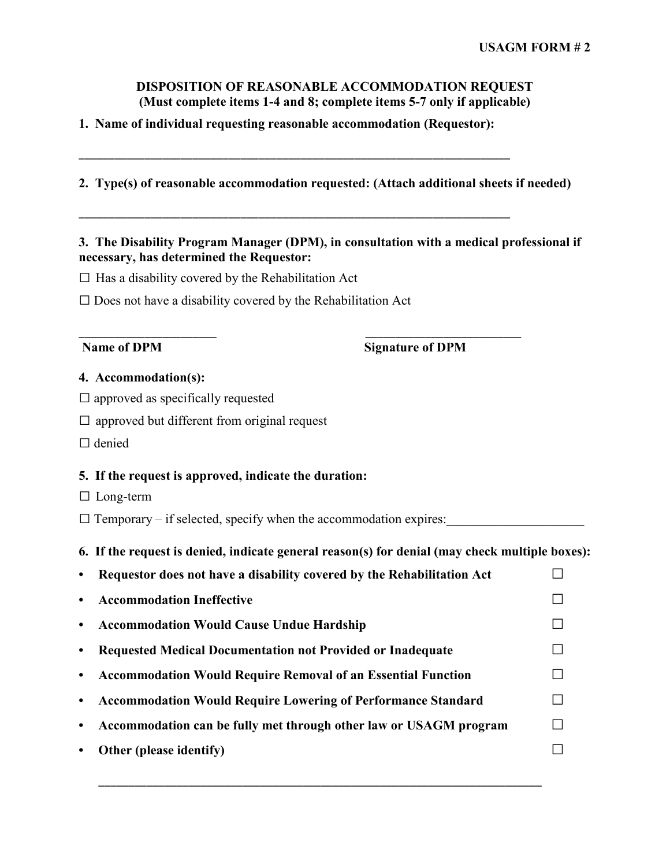# **DISPOSITION OF REASONABLE ACCOMMODATION REQUEST (Must complete items 1-4 and 8; complete items 5-7 only if applicable)**

# **1. Name of individual requesting reasonable accommodation (Requestor):**

\_\_\_\_\_\_\_\_\_\_\_\_\_\_\_\_\_\_\_\_\_\_\_\_\_\_\_\_\_\_\_\_\_\_\_\_\_\_\_\_\_\_\_\_\_\_\_\_\_\_\_\_\_\_\_\_\_\_\_\_\_\_\_\_\_\_\_\_\_\_\_\_

\_\_\_\_\_\_\_\_\_\_\_\_\_\_\_\_\_\_\_\_\_\_\_\_\_\_\_\_\_\_\_\_\_\_\_\_\_\_\_\_\_\_\_\_\_\_\_\_\_\_\_\_\_\_\_\_\_\_\_\_\_\_\_\_\_\_\_\_\_\_\_\_

\_\_\_\_\_\_\_\_\_\_\_\_\_\_\_\_\_\_\_\_\_\_\_ \_\_\_\_\_\_\_\_\_\_\_\_\_\_\_\_\_\_\_\_\_\_\_\_\_\_

# **2. Type(s) of reasonable accommodation requested: (Attach additional sheets if needed)**

# **3. The Disability Program Manager (DPM), in consultation with a medical professional if necessary, has determined the Requestor:**

 $\square$  Has a disability covered by the Rehabilitation Act

 $\square$  Does not have a disability covered by the Rehabilitation Act

**Name of DPM Signature of DPM**

### **4. Accommodation(s):**

- $\square$  approved as specifically requested
- $\square$  approved but different from original request
- □ denied

### **5. If the request is approved, indicate the duration:**

- □ Long-term
- $\square$  Temporary if selected, specify when the accommodation expires:

### **6. If the request is denied, indicate general reason(s) for denial (may check multiple boxes):**

|           | Requestor does not have a disability covered by the Rehabilitation Act |  |
|-----------|------------------------------------------------------------------------|--|
| $\bullet$ | <b>Accommodation Ineffective</b>                                       |  |
| $\bullet$ | <b>Accommodation Would Cause Undue Hardship</b>                        |  |
|           | Requested Medical Documentation not Provided or Inadequate             |  |
| $\bullet$ | <b>Accommodation Would Require Removal of an Essential Function</b>    |  |
| $\bullet$ | <b>Accommodation Would Require Lowering of Performance Standard</b>    |  |
| $\bullet$ | Accommodation can be fully met through other law or USAGM program      |  |
|           | Other (please identify)                                                |  |
|           |                                                                        |  |

\_\_\_\_\_\_\_\_\_\_\_\_\_\_\_\_\_\_\_\_\_\_\_\_\_\_\_\_\_\_\_\_\_\_\_\_\_\_\_\_\_\_\_\_\_\_\_\_\_\_\_\_\_\_\_\_\_\_\_\_\_\_\_\_\_\_\_\_\_\_\_\_\_\_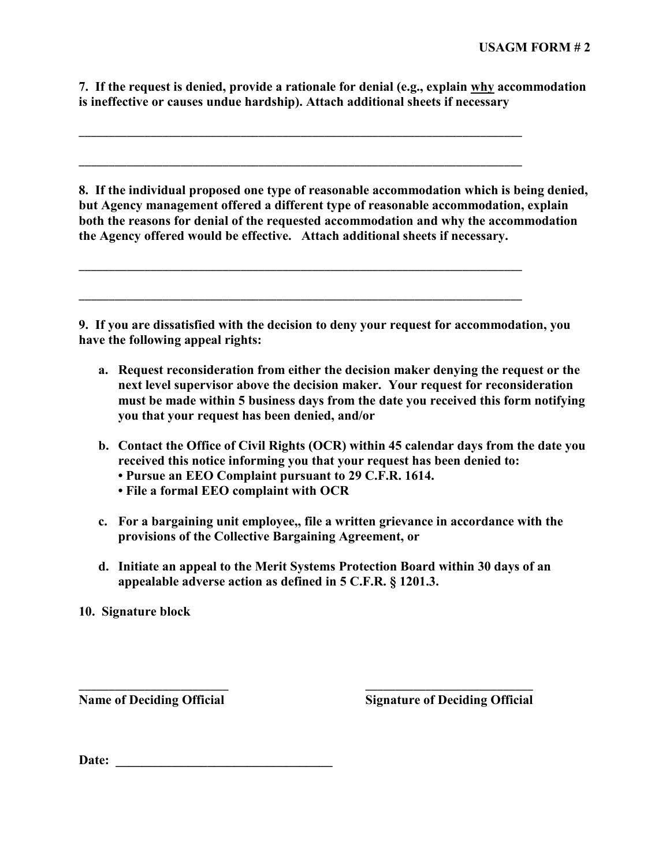**7. If the request is denied, provide a rationale for denial (e.g., explain why accommodation is ineffective or causes undue hardship). Attach additional sheets if necessary**

\_\_\_\_\_\_\_\_\_\_\_\_\_\_\_\_\_\_\_\_\_\_\_\_\_\_\_\_\_\_\_\_\_\_\_\_\_\_\_\_\_\_\_\_\_\_\_\_\_\_\_\_\_\_\_\_\_\_\_\_\_\_\_\_\_\_\_\_\_\_\_\_\_\_

\_\_\_\_\_\_\_\_\_\_\_\_\_\_\_\_\_\_\_\_\_\_\_\_\_\_\_\_\_\_\_\_\_\_\_\_\_\_\_\_\_\_\_\_\_\_\_\_\_\_\_\_\_\_\_\_\_\_\_\_\_\_\_\_\_\_\_\_\_\_\_\_\_\_

\_\_\_\_\_\_\_\_\_\_\_\_\_\_\_\_\_\_\_\_\_\_\_\_\_\_\_\_\_\_\_\_\_\_\_\_\_\_\_\_\_\_\_\_\_\_\_\_\_\_\_\_\_\_\_\_\_\_\_\_\_\_\_\_\_\_\_\_\_\_\_\_\_\_

\_\_\_\_\_\_\_\_\_\_\_\_\_\_\_\_\_\_\_\_\_\_\_\_\_\_\_\_\_\_\_\_\_\_\_\_\_\_\_\_\_\_\_\_\_\_\_\_\_\_\_\_\_\_\_\_\_\_\_\_\_\_\_\_\_\_\_\_\_\_\_\_\_\_

**8. If the individual proposed one type of reasonable accommodation which is being denied, but Agency management offered a different type of reasonable accommodation, explain both the reasons for denial of the requested accommodation and why the accommodation the Agency offered would be effective. Attach additional sheets if necessary.**

**9. If you are dissatisfied with the decision to deny your request for accommodation, you have the following appeal rights:**

- **a. Request reconsideration from either the decision maker denying the request or the next level supervisor above the decision maker. Your request for reconsideration must be made within 5 business days from the date you received this form notifying you that your request has been denied, and/or**
- **b. Contact the Office of Civil Rights (OCR) within 45 calendar days from the date you received this notice informing you that your request has been denied to:**
	- **Pursue an EEO Complaint pursuant to 29 C.F.R. 1614.**
	- **File a formal EEO complaint with OCR**
- **c. For a bargaining unit employee,, file a written grievance in accordance with the provisions of the Collective Bargaining Agreement, or**
- **d. Initiate an appeal to the Merit Systems Protection Board within 30 days of an appealable adverse action as defined in 5 C.F.R. § 1201.3.**

\_\_\_\_\_\_\_\_\_\_\_\_\_\_\_\_\_\_\_\_\_\_\_\_\_ \_\_\_\_\_\_\_\_\_\_\_\_\_\_\_\_\_\_\_\_\_\_\_\_\_\_\_\_

**10. Signature block**

**Name of Deciding Official Signature of Deciding Official**

Date: